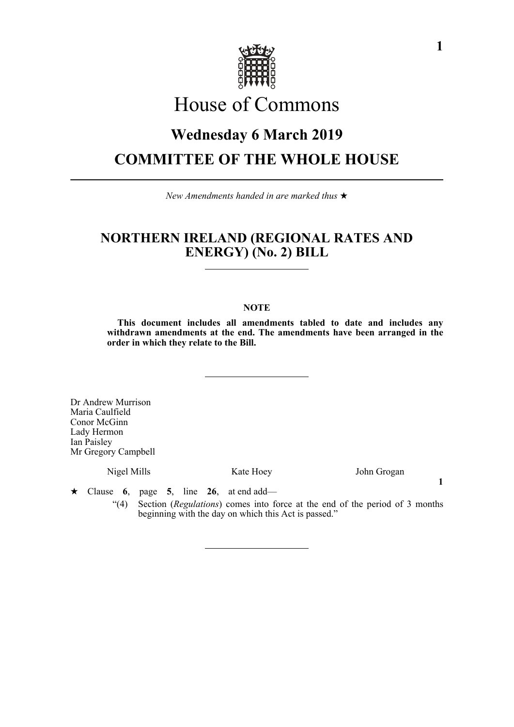

# House of Commons

# **Wednesday 6 March 2019 COMMITTEE OF THE WHOLE HOUSE**

*New Amendments handed in are marked thus* 

### **NORTHERN IRELAND (REGIONAL RATES AND ENERGY) (No. 2) BILL**

### **NOTE**

**This document includes all amendments tabled to date and includes any withdrawn amendments at the end. The amendments have been arranged in the order in which they relate to the Bill.**

Dr Andrew Murrison Maria Caulfield Conor McGinn Lady Hermon Ian Paisley Mr Gregory Campbell

Nigel Mills Kate Hoey John Grogan

**1**

 $\star$  Clause 6, page 5, line 26, at end add—

"(4) Section (*Regulations*) comes into force at the end of the period of 3 months beginning with the day on which this Act is passed."